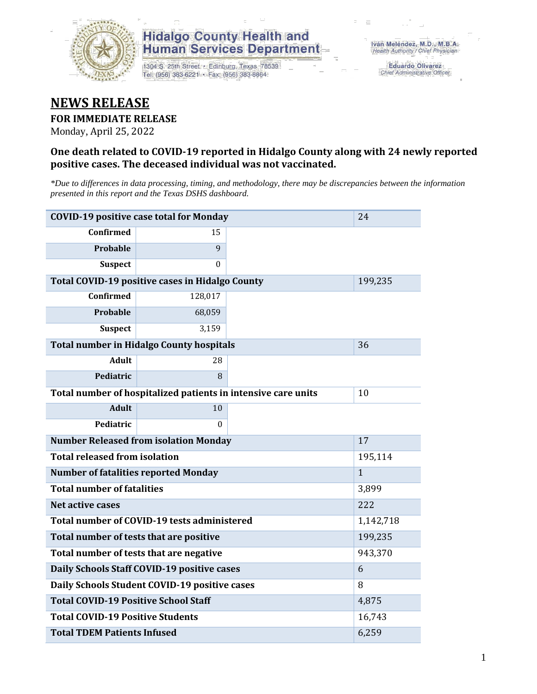

## **Hidalgo County Health and Human Services Department**

1304 S. 25th Street · Edinburg, Texas 78539 Tel: (956) 383-6221 · Fax: (956) 383-8864

**Eduardo Olivarez** Chief Administrative Officer

# **NEWS RELEASE**

#### **FOR IMMEDIATE RELEASE**

Monday, April 25, 2022

#### **One death related to COVID-19 reported in Hidalgo County along with 24 newly reported positive cases. The deceased individual was not vaccinated.**

*\*Due to differences in data processing, timing, and methodology, there may be discrepancies between the information presented in this report and the Texas DSHS dashboard.*

| <b>COVID-19 positive case total for Monday</b>  | 24                                                            |         |              |
|-------------------------------------------------|---------------------------------------------------------------|---------|--------------|
| <b>Confirmed</b>                                | 15                                                            |         |              |
| Probable                                        | 9                                                             |         |              |
| <b>Suspect</b>                                  | $\theta$                                                      |         |              |
|                                                 | Total COVID-19 positive cases in Hidalgo County               |         | 199,235      |
| Confirmed                                       | 128,017                                                       |         |              |
| Probable                                        | 68,059                                                        |         |              |
| <b>Suspect</b>                                  | 3,159                                                         |         |              |
| <b>Total number in Hidalgo County hospitals</b> |                                                               | 36      |              |
| <b>Adult</b>                                    | 28                                                            |         |              |
| Pediatric                                       | 8                                                             |         |              |
|                                                 | Total number of hospitalized patients in intensive care units | 10      |              |
| <b>Adult</b>                                    | 10                                                            |         |              |
| Pediatric                                       | $\Omega$                                                      |         |              |
| <b>Number Released from isolation Monday</b>    |                                                               | 17      |              |
| <b>Total released from isolation</b>            |                                                               | 195,114 |              |
| <b>Number of fatalities reported Monday</b>     |                                                               |         | $\mathbf{1}$ |
| <b>Total number of fatalities</b>               |                                                               |         | 3,899        |
| Net active cases                                |                                                               | 222     |              |
| Total number of COVID-19 tests administered     | 1,142,718                                                     |         |              |
| Total number of tests that are positive         | 199,235                                                       |         |              |
| Total number of tests that are negative         | 943,370                                                       |         |              |
| Daily Schools Staff COVID-19 positive cases     |                                                               | 6       |              |
| Daily Schools Student COVID-19 positive cases   | 8                                                             |         |              |
| <b>Total COVID-19 Positive School Staff</b>     | 4,875                                                         |         |              |
| <b>Total COVID-19 Positive Students</b>         | 16,743                                                        |         |              |
| <b>Total TDEM Patients Infused</b>              | 6,259                                                         |         |              |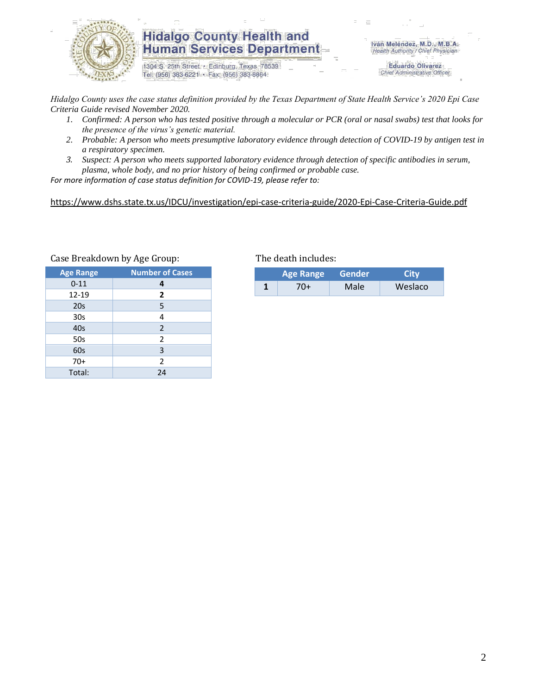

### **Hidalgo County Health and Human Services Department**

1304 S. 25th Street · Edinburg, Texas 78539 Tel: (956) 383-6221 · Fax: (956) 383-8864

Iván Meléndez, M.D., M.B.A. Health Authority / Chief Physician

> **Eduardo Olivarez** Chief Administrative Officer

*Hidalgo County uses the case status definition provided by the Texas Department of State Health Service's 2020 Epi Case Criteria Guide revised November 2020.*

- *1. Confirmed: A person who has tested positive through a molecular or PCR (oral or nasal swabs) test that looks for the presence of the virus's genetic material.*
- *2. Probable: A person who meets presumptive laboratory evidence through detection of COVID-19 by antigen test in a respiratory specimen.*
- *3. Suspect: A person who meets supported laboratory evidence through detection of specific antibodies in serum, plasma, whole body, and no prior history of being confirmed or probable case.*

*For more information of case status definition for COVID-19, please refer to:*

<https://www.dshs.state.tx.us/IDCU/investigation/epi-case-criteria-guide/2020-Epi-Case-Criteria-Guide.pdf>

| <b>Age Range</b> | <b>Number of Cases</b> |  |  |
|------------------|------------------------|--|--|
| $0 - 11$         | 4                      |  |  |
| 12-19            | $\overline{2}$         |  |  |
| 20s              | 5                      |  |  |
| 30 <sub>s</sub>  | 4                      |  |  |
| 40s              | $\overline{2}$         |  |  |
| 50s              | 2                      |  |  |
| 60s              | 3                      |  |  |
| $70+$            | $\overline{2}$         |  |  |
| Total:           | 24                     |  |  |

#### Case Breakdown by Age Group: The death includes:

| <b>Age Range</b> |     | Gender | City    |  |
|------------------|-----|--------|---------|--|
|                  | 70+ | Male   | Weslaco |  |